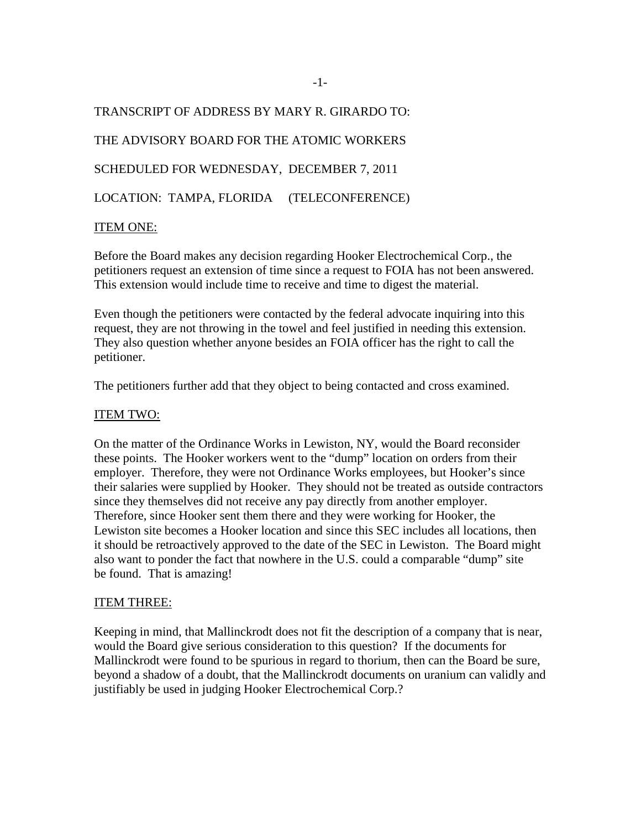TRANSCRIPT OF ADDRESS BY MARY R. GIRARDO TO: THE ADVISORY BOARD FOR THE ATOMIC WORKERS SCHEDULED FOR WEDNESDAY, DECEMBER 7, 2011 LOCATION: TAMPA, FLORIDA (TELECONFERENCE)

## ITEM ONE:

Before the Board makes any decision regarding Hooker Electrochemical Corp., the petitioners request an extension of time since a request to FOIA has not been answered. This extension would include time to receive and time to digest the material.

Even though the petitioners were contacted by the federal advocate inquiring into this request, they are not throwing in the towel and feel justified in needing this extension. They also question whether anyone besides an FOIA officer has the right to call the petitioner.

The petitioners further add that they object to being contacted and cross examined.

## ITEM TWO:

On the matter of the Ordinance Works in Lewiston, NY, would the Board reconsider these points. The Hooker workers went to the "dump" location on orders from their employer. Therefore, they were not Ordinance Works employees, but Hooker's since their salaries were supplied by Hooker. They should not be treated as outside contractors since they themselves did not receive any pay directly from another employer. Therefore, since Hooker sent them there and they were working for Hooker, the Lewiston site becomes a Hooker location and since this SEC includes all locations, then it should be retroactively approved to the date of the SEC in Lewiston. The Board might also want to ponder the fact that nowhere in the U.S. could a comparable "dump" site be found. That is amazing!

#### ITEM THREE:

Keeping in mind, that Mallinckrodt does not fit the description of a company that is near, would the Board give serious consideration to this question? If the documents for Mallinckrodt were found to be spurious in regard to thorium, then can the Board be sure, beyond a shadow of a doubt, that the Mallinckrodt documents on uranium can validly and justifiably be used in judging Hooker Electrochemical Corp.?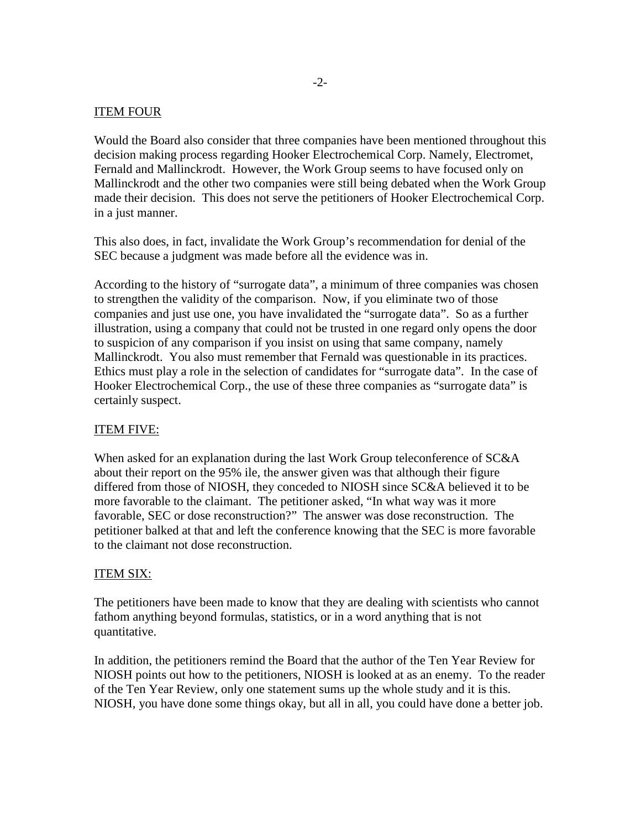## ITEM FOUR

Would the Board also consider that three companies have been mentioned throughout this decision making process regarding Hooker Electrochemical Corp. Namely, Electromet, Fernald and Mallinckrodt. However, the Work Group seems to have focused only on Mallinckrodt and the other two companies were still being debated when the Work Group made their decision. This does not serve the petitioners of Hooker Electrochemical Corp. in a just manner.

This also does, in fact, invalidate the Work Group's recommendation for denial of the SEC because a judgment was made before all the evidence was in.

According to the history of "surrogate data", a minimum of three companies was chosen to strengthen the validity of the comparison. Now, if you eliminate two of those companies and just use one, you have invalidated the "surrogate data". So as a further illustration, using a company that could not be trusted in one regard only opens the door to suspicion of any comparison if you insist on using that same company, namely Mallinckrodt. You also must remember that Fernald was questionable in its practices. Ethics must play a role in the selection of candidates for "surrogate data". In the case of Hooker Electrochemical Corp., the use of these three companies as "surrogate data" is certainly suspect.

# ITEM FIVE:

When asked for an explanation during the last Work Group teleconference of SC&A about their report on the 95% ile, the answer given was that although their figure differed from those of NIOSH, they conceded to NIOSH since SC&A believed it to be more favorable to the claimant. The petitioner asked, "In what way was it more favorable, SEC or dose reconstruction?" The answer was dose reconstruction. The petitioner balked at that and left the conference knowing that the SEC is more favorable to the claimant not dose reconstruction.

## ITEM SIX:

The petitioners have been made to know that they are dealing with scientists who cannot fathom anything beyond formulas, statistics, or in a word anything that is not quantitative.

In addition, the petitioners remind the Board that the author of the Ten Year Review for NIOSH points out how to the petitioners, NIOSH is looked at as an enemy. To the reader of the Ten Year Review, only one statement sums up the whole study and it is this. NIOSH, you have done some things okay, but all in all, you could have done a better job.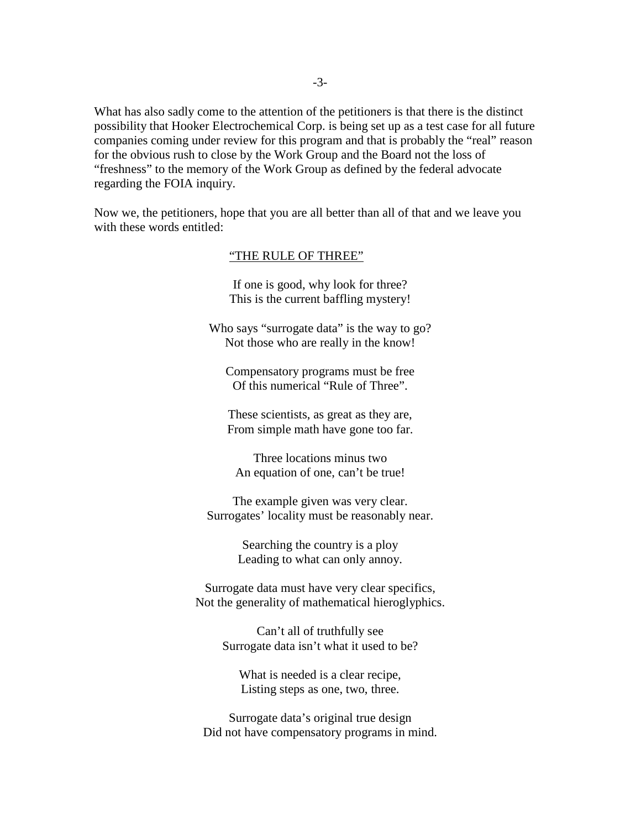What has also sadly come to the attention of the petitioners is that there is the distinct possibility that Hooker Electrochemical Corp. is being set up as a test case for all future companies coming under review for this program and that is probably the "real" reason for the obvious rush to close by the Work Group and the Board not the loss of "freshness" to the memory of the Work Group as defined by the federal advocate regarding the FOIA inquiry.

Now we, the petitioners, hope that you are all better than all of that and we leave you with these words entitled:

#### "THE RULE OF THREE"

If one is good, why look for three? This is the current baffling mystery!

Who says "surrogate data" is the way to go? Not those who are really in the know!

Compensatory programs must be free Of this numerical "Rule of Three".

These scientists, as great as they are, From simple math have gone too far.

Three locations minus two An equation of one, can't be true!

The example given was very clear. Surrogates' locality must be reasonably near.

> Searching the country is a ploy Leading to what can only annoy.

Surrogate data must have very clear specifics, Not the generality of mathematical hieroglyphics.

> Can't all of truthfully see Surrogate data isn't what it used to be?

What is needed is a clear recipe, Listing steps as one, two, three.

Surrogate data's original true design Did not have compensatory programs in mind.